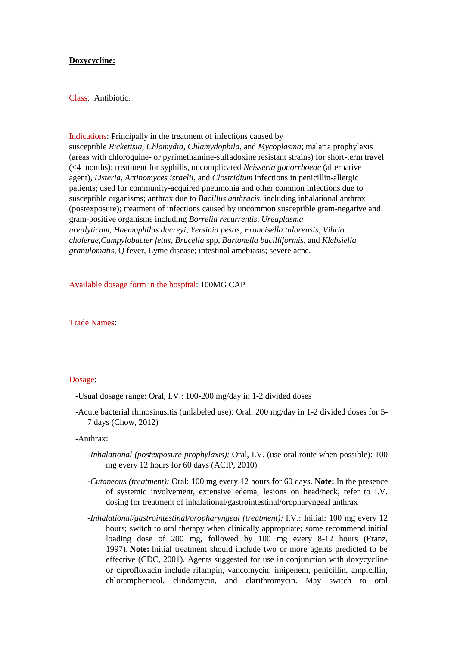# **Doxycycline:**

Class: Antibiotic.

#### Indications: Principally in the treatment of infections caused by

susceptible *Rickettsia*, *Chlamydia*, *Chlamydophila*, and *Mycoplasma*; malaria prophylaxis (areas with chloroquine- or pyrimethamine-sulfadoxine resistant strains) for short-term travel (<4 months); treatment for syphilis, uncomplicated *Neisseria gonorrhoeae* (alternative agent), *Listeria*, *Actinomyces israelii*, and *Clostridium* infections in penicillin-allergic patients; used for community-acquired pneumonia and other common infections due to susceptible organisms; anthrax due to *Bacillus anthracis,* including inhalational anthrax (postexposure); treatment of infections caused by uncommon susceptible gram-negative and gram-positive organisms including *Borrelia recurrentis*, *Ureaplasma urealyticum*, *Haemophilus ducreyi*, *Yersinia pestis*, *Francisella tularensis*, *Vibrio cholerae*,*Campylobacter fetus*, *Brucella* spp, *Bartonella bacilliformis*, and *Klebsiella granulomatis,* Q fever, Lyme disease; intestinal amebiasis; severe acne.

# Available dosage form in the hospital: 100MG CAP

Trade Names:

#### Dosage:

-Usual dosage range: Oral, I.V.: 100-200 mg/day in 1-2 divided doses

 -Acute bacterial rhinosinusitis (unlabeled use): Oral: 200 mg/day in 1-2 divided doses for 5- 7 days (Chow, 2012)

-Anthrax:

- *-Inhalational (postexposure prophylaxis):* Oral, I.V. (use oral route when possible): 100 mg every 12 hours for 60 days (ACIP, 2010)
- *-Cutaneous (treatment):* Oral: 100 mg every 12 hours for 60 days. **Note:** In the presence of systemic involvement, extensive edema, lesions on head/neck, refer to I.V. dosing for treatment of inhalational/gastrointestinal/oropharyngeal anthrax
- *-Inhalational/gastrointestinal/oropharyngeal (treatment):* I.V.: Initial: 100 mg every 12 hours; switch to oral therapy when clinically appropriate; some recommend initial loading dose of 200 mg, followed by 100 mg every 8-12 hours (Franz, 1997). **Note:** Initial treatment should include two or more agents predicted to be effective (CDC, 2001). Agents suggested for use in conjunction with doxycycline or ciprofloxacin include rifampin, vancomycin, imipenem, penicillin, ampicillin, chloramphenicol, clindamycin, and clarithromycin. May switch to oral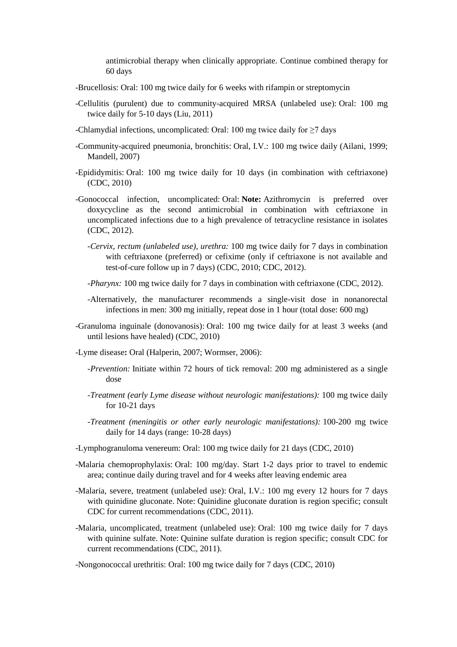antimicrobial therapy when clinically appropriate. Continue combined therapy for 60 days

- -Brucellosis: Oral: 100 mg twice daily for 6 weeks with rifampin or streptomycin
- -Cellulitis (purulent) due to community-acquired MRSA (unlabeled use): Oral: 100 mg twice daily for 5-10 days (Liu, 2011)
- -Chlamydial infections, uncomplicated: Oral: 100 mg twice daily for  $\geq$ 7 days
- -Community-acquired pneumonia, bronchitis: Oral, I.V.: 100 mg twice daily (Ailani, 1999; Mandell, 2007)
- -Epididymitis: Oral: 100 mg twice daily for 10 days (in combination with ceftriaxone) (CDC, 2010)
- -Gonococcal infection, uncomplicated: Oral: **Note:** Azithromycin is preferred over doxycycline as the second antimicrobial in combination with ceftriaxone in uncomplicated infections due to a high prevalence of tetracycline resistance in isolates (CDC, 2012).
	- *-Cervix, rectum (unlabeled use), urethra:* 100 mg twice daily for 7 days in combination with ceftriaxone (preferred) or cefixime (only if ceftriaxone is not available and test-of-cure follow up in 7 days) (CDC, 2010; CDC, 2012).
	- *-Pharynx:* 100 mg twice daily for 7 days in combination with ceftriaxone (CDC, 2012).
	- -Alternatively, the manufacturer recommends a single-visit dose in nonanorectal infections in men: 300 mg initially, repeat dose in 1 hour (total dose: 600 mg)
- -Granuloma inguinale (donovanosis): Oral: 100 mg twice daily for at least 3 weeks (and until lesions have healed) (CDC, 2010)
- -Lyme disease**:** Oral (Halperin, 2007; Wormser, 2006):
	- *-Prevention:* Initiate within 72 hours of tick removal: 200 mg administered as a single dose
	- *-Treatment (early Lyme disease without neurologic manifestations):* 100 mg twice daily for 10-21 days
	- *-Treatment (meningitis or other early neurologic manifestations):* 100-200 mg twice daily for 14 days (range: 10-28 days)
- -Lymphogranuloma venereum: Oral: 100 mg twice daily for 21 days (CDC, 2010)
- -Malaria chemoprophylaxis: Oral: 100 mg/day. Start 1-2 days prior to travel to endemic area; continue daily during travel and for 4 weeks after leaving endemic area
- -Malaria, severe, treatment (unlabeled use): Oral, I.V.: 100 mg every 12 hours for 7 days with quinidine gluconate. Note: Quinidine gluconate duration is region specific; consult CDC for current recommendations (CDC, 2011).
- -Malaria, uncomplicated, treatment (unlabeled use): Oral: 100 mg twice daily for 7 days with quinine sulfate. Note: Quinine sulfate duration is region specific; consult CDC for current recommendations (CDC, 2011).
- -Nongonococcal urethritis: Oral: 100 mg twice daily for 7 days (CDC, 2010)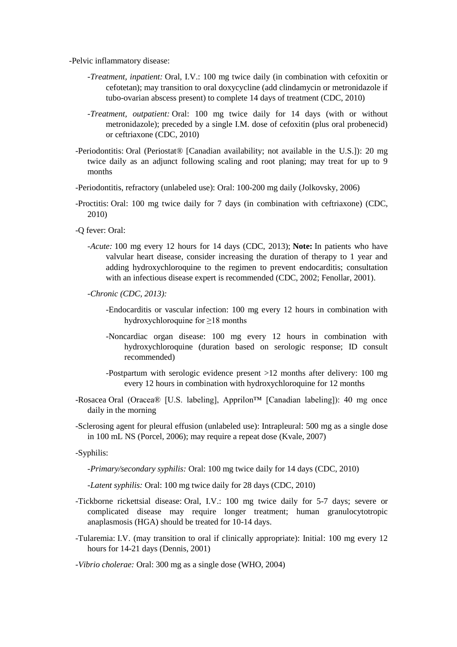-Pelvic inflammatory disease:

- *-Treatment, inpatient:* Oral, I.V.: 100 mg twice daily (in combination with cefoxitin or cefotetan); may transition to oral doxycycline (add clindamycin or metronidazole if tubo-ovarian abscess present) to complete 14 days of treatment (CDC, 2010)
- *-Treatment, outpatient:* Oral: 100 mg twice daily for 14 days (with or without metronidazole); preceded by a single I.M. dose of cefoxitin (plus oral probenecid) or ceftriaxone (CDC, 2010)
- -Periodontitis: Oral (Periostat® [Canadian availability; not available in the U.S.]): 20 mg twice daily as an adjunct following scaling and root planing; may treat for up to 9 months
- -Periodontitis, refractory (unlabeled use): Oral: 100-200 mg daily (Jolkovsky, 2006)
- -Proctitis: Oral: 100 mg twice daily for 7 days (in combination with ceftriaxone) (CDC, 2010)
- -Q fever: Oral:
	- *-Acute:* 100 mg every 12 hours for 14 days (CDC, 2013); **Note:** In patients who have valvular heart disease, consider increasing the duration of therapy to 1 year and adding hydroxychloroquine to the regimen to prevent endocarditis; consultation with an infectious disease expert is recommended (CDC, 2002; Fenollar, 2001).
	- *-Chronic (CDC, 2013):*
		- -Endocarditis or vascular infection: 100 mg every 12 hours in combination with hydroxychloroquine for ≥18 months
		- -Noncardiac organ disease: 100 mg every 12 hours in combination with hydroxychloroquine (duration based on serologic response; ID consult recommended)
		- -Postpartum with serologic evidence present >12 months after delivery: 100 mg every 12 hours in combination with hydroxychloroquine for 12 months
- -Rosacea Oral (Oracea® [U.S. labeling], Apprilon™ [Canadian labeling]): 40 mg once daily in the morning
- -Sclerosing agent for pleural effusion (unlabeled use): Intrapleural: 500 mg as a single dose in 100 mL NS (Porcel, 2006); may require a repeat dose (Kvale, 2007)

-Syphilis:

*-Primary/secondary syphilis:* Oral: 100 mg twice daily for 14 days (CDC, 2010)

*-Latent syphilis:* Oral: 100 mg twice daily for 28 days (CDC, 2010)

- -Tickborne rickettsial disease: Oral, I.V.: 100 mg twice daily for 5-7 days; severe or complicated disease may require longer treatment; human granulocytotropic anaplasmosis (HGA) should be treated for 10-14 days.
- -Tularemia: I.V. (may transition to oral if clinically appropriate): Initial: 100 mg every 12 hours for 14-21 days (Dennis, 2001)

### *-Vibrio cholerae:* Oral: 300 mg as a single dose (WHO, 2004)